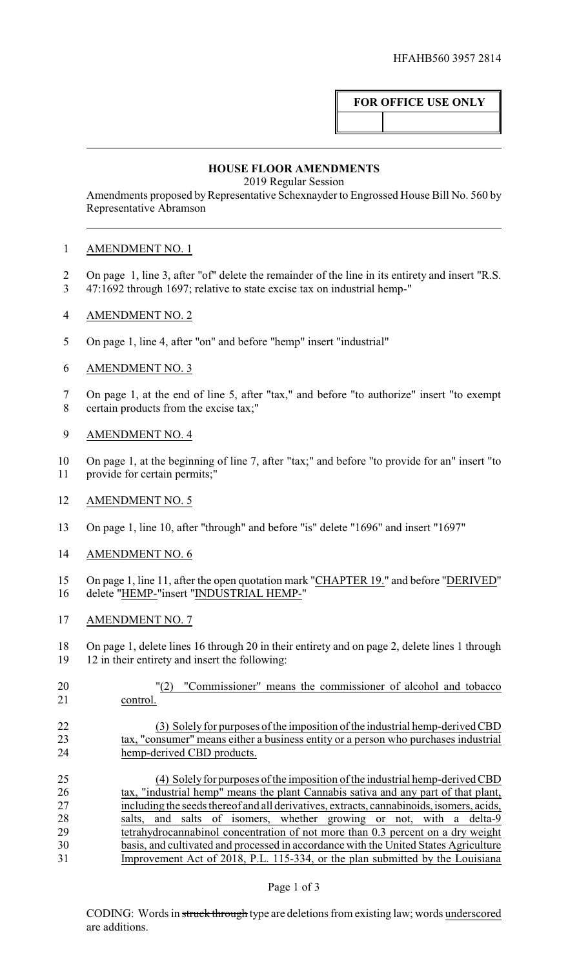# **FOR OFFICE USE ONLY**

### **HOUSE FLOOR AMENDMENTS**

2019 Regular Session

Amendments proposed by Representative Schexnayder to Engrossed House Bill No. 560 by Representative Abramson

## AMENDMENT NO. 1

- On page 1, line 3, after "of" delete the remainder of the line in its entirety and insert "R.S.
- 47:1692 through 1697; relative to state excise tax on industrial hemp-"
- AMENDMENT NO. 2
- On page 1, line 4, after "on" and before "hemp" insert "industrial"
- AMENDMENT NO. 3

 On page 1, at the end of line 5, after "tax," and before "to authorize" insert "to exempt certain products from the excise tax;"

- AMENDMENT NO. 4
- On page 1, at the beginning of line 7, after "tax;" and before "to provide for an" insert "to provide for certain permits;"
- AMENDMENT NO. 5
- On page 1, line 10, after "through" and before "is" delete "1696" and insert "1697"
- AMENDMENT NO. 6
- 15 On page 1, line 11, after the open quotation mark "CHAPTER 19." and before "DERIVED" delete "HEMP-"insert "INDUSTRIAL HEMP-"
- AMENDMENT NO. 7

 On page 1, delete lines 16 through 20 in their entirety and on page 2, delete lines 1 through 12 in their entirety and insert the following:

 "(2) "Commissioner" means the commissioner of alcohol and tobacco control.

# (3) Solely for purposes of the imposition of the industrial hemp-derived CBD tax, "consumer" means either a business entity or a person who purchases industrial hemp-derived CBD products.

 (4) Solelyfor purposes of the imposition of the industrial hemp-derived CBD 26 tax, "industrial hemp" means the plant Cannabis sativa and any part of that plant, 27 including the seeds thereof and all derivatives, extracts, cannabinoids, isomers, acids, 28 salts, and salts of isomers, whether growing or not, with a delta-9 salts, and salts of isomers, whether growing or not, with a delta-9 tetrahydrocannabinol concentration of not more than 0.3 percent on a dry weight basis, and cultivated and processed in accordance with the United States Agriculture Improvement Act of 2018, P.L. 115-334, or the plan submitted by the Louisiana

### Page 1 of 3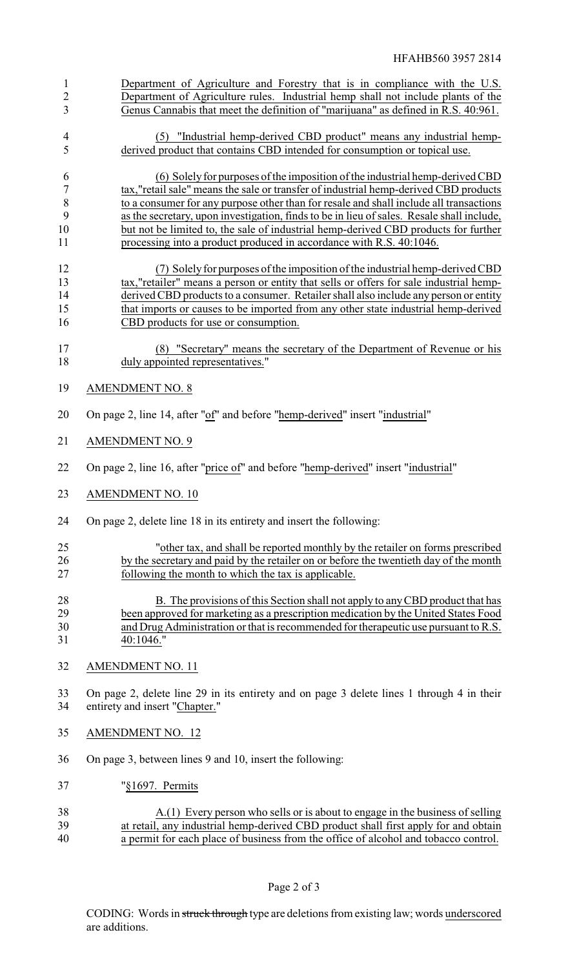| $\mathbf{1}$<br>$\overline{c}$<br>$\overline{3}$ | Department of Agriculture and Forestry that is in compliance with the U.S.<br>Department of Agriculture rules. Industrial hemp shall not include plants of the<br>Genus Cannabis that meet the definition of "marijuana" as defined in R.S. 40:961.                                                                                                                                                                                                |
|--------------------------------------------------|----------------------------------------------------------------------------------------------------------------------------------------------------------------------------------------------------------------------------------------------------------------------------------------------------------------------------------------------------------------------------------------------------------------------------------------------------|
|                                                  |                                                                                                                                                                                                                                                                                                                                                                                                                                                    |
| $\overline{\mathcal{A}}$<br>5                    | "Industrial hemp-derived CBD product" means any industrial hemp-<br>(5)<br>derived product that contains CBD intended for consumption or topical use.                                                                                                                                                                                                                                                                                              |
| 6<br>$\overline{7}$<br>8<br>9<br>10              | (6) Solely for purposes of the imposition of the industrial hemp-derived CBD<br>tax,"retail sale" means the sale or transfer of industrial hemp-derived CBD products<br>to a consumer for any purpose other than for resale and shall include all transactions<br>as the secretary, upon investigation, finds to be in lieu of sales. Resale shall include,<br>but not be limited to, the sale of industrial hemp-derived CBD products for further |
| 11                                               | processing into a product produced in accordance with R.S. 40:1046.                                                                                                                                                                                                                                                                                                                                                                                |
| 12<br>13<br>14<br>15<br>16                       | (7) Solely for purposes of the imposition of the industrial hemp-derived CBD<br>tax,"retailer" means a person or entity that sells or offers for sale industrial hemp-<br>derived CBD products to a consumer. Retailer shall also include any person or entity<br>that imports or causes to be imported from any other state industrial hemp-derived<br>CBD products for use or consumption.                                                       |
|                                                  |                                                                                                                                                                                                                                                                                                                                                                                                                                                    |
| 17                                               | (8) "Secretary" means the secretary of the Department of Revenue or his                                                                                                                                                                                                                                                                                                                                                                            |
| 18                                               | duly appointed representatives."                                                                                                                                                                                                                                                                                                                                                                                                                   |
| 19                                               | <b>AMENDMENT NO. 8</b>                                                                                                                                                                                                                                                                                                                                                                                                                             |
| 20                                               | On page 2, line 14, after "of" and before "hemp-derived" insert "industrial"                                                                                                                                                                                                                                                                                                                                                                       |
| 21                                               | <b>AMENDMENT NO. 9</b>                                                                                                                                                                                                                                                                                                                                                                                                                             |
| 22                                               | On page 2, line 16, after "price of" and before "hemp-derived" insert "industrial"                                                                                                                                                                                                                                                                                                                                                                 |
| 23                                               | <b>AMENDMENT NO. 10</b>                                                                                                                                                                                                                                                                                                                                                                                                                            |
| 24                                               | On page 2, delete line 18 in its entirety and insert the following:                                                                                                                                                                                                                                                                                                                                                                                |
| 25                                               | "other tax, and shall be reported monthly by the retailer on forms prescribed                                                                                                                                                                                                                                                                                                                                                                      |
| 26                                               | by the secretary and paid by the retailer on or before the twentieth day of the month                                                                                                                                                                                                                                                                                                                                                              |
| 27                                               | following the month to which the tax is applicable.                                                                                                                                                                                                                                                                                                                                                                                                |
|                                                  |                                                                                                                                                                                                                                                                                                                                                                                                                                                    |
| 28                                               | B. The provisions of this Section shall not apply to any CBD product that has                                                                                                                                                                                                                                                                                                                                                                      |
| 29                                               | been approved for marketing as a prescription medication by the United States Food                                                                                                                                                                                                                                                                                                                                                                 |
| 30                                               | and Drug Administration or that is recommended for therapeutic use pursuant to R.S.                                                                                                                                                                                                                                                                                                                                                                |
| 31                                               | 40:1046."                                                                                                                                                                                                                                                                                                                                                                                                                                          |
|                                                  |                                                                                                                                                                                                                                                                                                                                                                                                                                                    |
| 32                                               | <b>AMENDMENT NO. 11</b>                                                                                                                                                                                                                                                                                                                                                                                                                            |
| 33<br>34                                         | On page 2, delete line 29 in its entirety and on page 3 delete lines 1 through 4 in their<br>entirety and insert "Chapter."                                                                                                                                                                                                                                                                                                                        |
| 35                                               | <b>AMENDMENT NO. 12</b>                                                                                                                                                                                                                                                                                                                                                                                                                            |
| 36                                               | On page 3, between lines 9 and 10, insert the following:                                                                                                                                                                                                                                                                                                                                                                                           |
| 37                                               | "§1697. Permits                                                                                                                                                                                                                                                                                                                                                                                                                                    |
| 38<br>20                                         | $\underline{A(1)}$ Every person who sells or is about to engage in the business of selling<br>any industrial home derived CBD product shall first apply for and obtain                                                                                                                                                                                                                                                                             |

39 at retail, any industrial hemp-derived CBD product shall first apply for and obtain 40 a permit for each place of business from the office of alcohol and tobacco control.